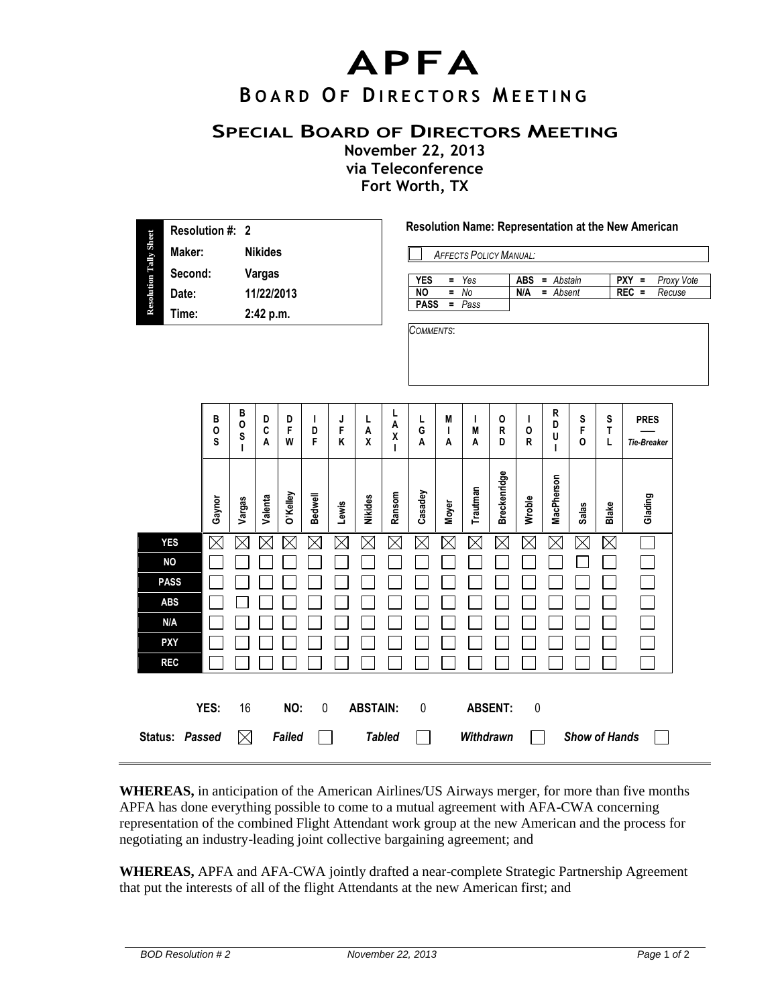## **APFA**

## **B O A R D O F D I R E C T O R S M E E T I N G**

## **SPECIAL BOARD OF DIRECTORS MEETING**

**November 22, 2013 via Teleconference Fort Worth, TX**

|                               | Resolution #: 2   |             |                                        |               |                 |                |             |                                                             | Resolution Name: Representation at the New American     |                                   |              |                   |                     |              |             |                           |              |                    |  |
|-------------------------------|-------------------|-------------|----------------------------------------|---------------|-----------------|----------------|-------------|-------------------------------------------------------------|---------------------------------------------------------|-----------------------------------|--------------|-------------------|---------------------|--------------|-------------|---------------------------|--------------|--------------------|--|
|                               | Maker:<br>Second: |             | <b>Nikides</b><br>Vargas<br>11/22/2013 |               |                 |                |             | <b>AFFECTS POLICY MANUAL:</b>                               |                                                         |                                   |              |                   |                     |              |             |                           |              |                    |  |
| <b>Resolution Tally Sheet</b> |                   |             |                                        |               |                 |                |             |                                                             | Yes<br><b>YES</b><br>ABS<br>$PXY =$<br>$=$<br>= Abstain |                                   |              |                   |                     |              |             |                           | Proxy Vote   |                    |  |
|                               | Date:             |             |                                        |               |                 |                |             | Ξ<br>$\overline{N}$<br><b>No</b><br><b>PASS</b><br>$= Pass$ |                                                         |                                   |              | $=$ Absent<br>N/A |                     |              |             | <b>REC</b><br>F<br>Recuse |              |                    |  |
|                               | Time:             |             | 2:42 p.m.                              |               |                 |                |             | COMMENTS:                                                   |                                                         |                                   |              |                   |                     |              |             |                           |              |                    |  |
|                               |                   |             |                                        |               |                 |                |             |                                                             |                                                         |                                   |              |                   |                     |              |             |                           |              |                    |  |
|                               |                   |             |                                        |               |                 |                |             |                                                             |                                                         |                                   |              |                   |                     |              |             |                           |              |                    |  |
|                               |                   |             |                                        |               |                 |                |             |                                                             |                                                         |                                   |              |                   |                     |              |             |                           |              |                    |  |
|                               |                   |             | В                                      |               |                 |                |             |                                                             | L                                                       |                                   |              |                   |                     |              | R           |                           |              |                    |  |
|                               |                   | В<br>0      | 0<br>S                                 | D<br>C        | D<br>F          | J.<br>D        | J<br>F      | L<br>A                                                      | Α<br>χ                                                  | L<br>G                            | M<br>I       | L<br>M            | O<br>R              | I<br>$\circ$ | D<br>U      | S<br>F                    | S<br>T       | <b>PRES</b>        |  |
|                               |                   | S           | т                                      | A             | W               | F              | K           | χ                                                           | п                                                       | Α                                 | A            | Α                 | D                   | R            | I.          | O                         | L            | <b>Tie-Breaker</b> |  |
|                               |                   |             |                                        |               |                 |                |             |                                                             |                                                         |                                   |              |                   |                     |              |             |                           |              |                    |  |
|                               |                   |             |                                        |               |                 |                |             |                                                             |                                                         |                                   |              | Trautman          | <b>Breckenridge</b> |              | MacPherson  |                           |              |                    |  |
|                               |                   | Gaynor      | Vargas                                 | Valenta       | <b>O'Kelley</b> | <b>Bedwell</b> | Lewis       | Nikides                                                     | Ransom                                                  | Casadey                           | <b>Moyer</b> |                   |                     | Wroble       |             | <b>Salas</b>              | <b>Blake</b> | Glading            |  |
|                               | <b>YES</b>        | $\boxtimes$ | $\boxtimes$                            | $\times$      | $\boxtimes$     | $\boxtimes$    | $\boxtimes$ | $\boxtimes$                                                 | $\boxtimes$                                             | $\boxtimes$                       | $\boxtimes$  | $\boxtimes$       | $\boxtimes$         | $\boxtimes$  | $\boxtimes$ | $\boxtimes$               | $\boxtimes$  |                    |  |
|                               | <b>NO</b>         |             |                                        |               |                 |                |             |                                                             |                                                         |                                   |              |                   |                     |              |             |                           |              |                    |  |
|                               | <b>PASS</b>       |             |                                        |               |                 |                |             |                                                             |                                                         |                                   |              |                   |                     |              |             |                           |              |                    |  |
|                               | <b>ABS</b>        |             |                                        |               |                 |                |             |                                                             |                                                         |                                   |              |                   |                     |              |             |                           |              |                    |  |
|                               | N/A               |             |                                        |               |                 |                |             |                                                             |                                                         |                                   |              |                   |                     |              |             |                           |              |                    |  |
|                               | <b>PXY</b>        |             |                                        |               |                 |                |             |                                                             |                                                         |                                   |              |                   |                     |              |             |                           |              |                    |  |
|                               | <b>REC</b>        |             |                                        |               |                 |                |             |                                                             |                                                         |                                   |              |                   |                     |              |             |                           |              |                    |  |
|                               |                   |             |                                        |               |                 |                |             |                                                             |                                                         |                                   |              |                   |                     |              |             |                           |              |                    |  |
|                               |                   | YES:        | 16                                     |               | NO:             | $\mathbf 0$    |             | <b>ABSTAIN:</b>                                             |                                                         | $\mathbf 0$                       |              |                   | <b>ABSENT:</b>      | $\pmb{0}$    |             |                           |              |                    |  |
|                               | Status: Passed    |             | $\boxtimes$                            | <b>Failed</b> |                 |                |             |                                                             | <b>Tabled</b>                                           | Withdrawn<br><b>Show of Hands</b> |              |                   |                     |              |             |                           |              |                    |  |
|                               |                   |             |                                        |               |                 |                |             |                                                             |                                                         |                                   |              |                   |                     |              |             |                           |              |                    |  |

**WHEREAS,** in anticipation of the American Airlines/US Airways merger, for more than five months APFA has done everything possible to come to a mutual agreement with AFA-CWA concerning representation of the combined Flight Attendant work group at the new American and the process for negotiating an industry-leading joint collective bargaining agreement; and

**WHEREAS,** APFA and AFA-CWA jointly drafted a near-complete Strategic Partnership Agreement that put the interests of all of the flight Attendants at the new American first; and

 $\equiv$